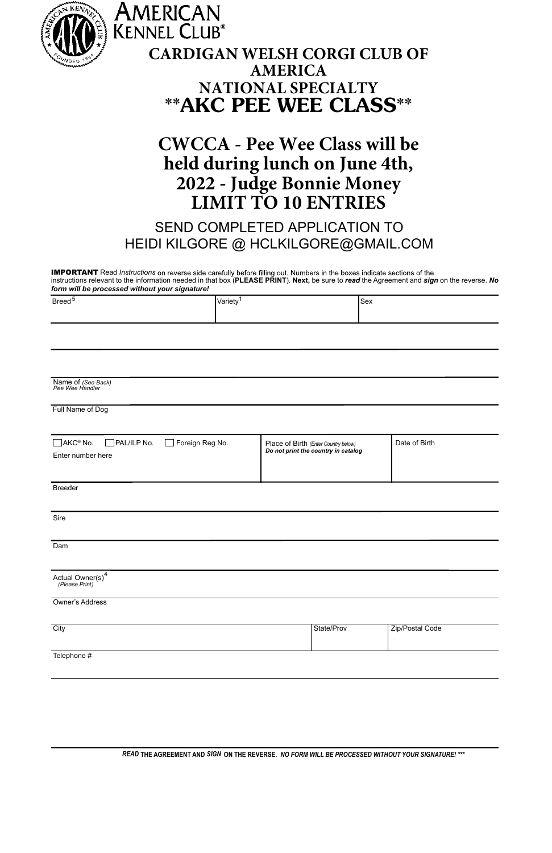| KENNE                                                  | AMERICAN                                                                                                                                                                                                                                                                      |                |                                      |                 |
|--------------------------------------------------------|-------------------------------------------------------------------------------------------------------------------------------------------------------------------------------------------------------------------------------------------------------------------------------|----------------|--------------------------------------|-----------------|
|                                                        | <b>KENNEL CLUB®</b><br><b>CARDIGAN WELSH CORGI CLUB OF</b>                                                                                                                                                                                                                    |                |                                      |                 |
|                                                        |                                                                                                                                                                                                                                                                               | <b>AMERICA</b> |                                      |                 |
|                                                        | ** AKC PEE WEE CLASS**                                                                                                                                                                                                                                                        |                | <b>NATIONAL SPECIALTY</b>            |                 |
|                                                        |                                                                                                                                                                                                                                                                               |                |                                      |                 |
|                                                        | <b>CWCCA - Pee Wee Class will be</b>                                                                                                                                                                                                                                          |                |                                      |                 |
|                                                        | held during lunch on June 4th,                                                                                                                                                                                                                                                |                |                                      |                 |
|                                                        | 2022 - Judge Bonnie Money                                                                                                                                                                                                                                                     |                | <b>LIMIT TO 10 ENTRIES</b>           |                 |
|                                                        | SEND COMPLETED APPLICATION TO                                                                                                                                                                                                                                                 |                |                                      |                 |
|                                                        | HEIDI KILGORE @ HCLKILGORE@GMAIL.COM                                                                                                                                                                                                                                          |                |                                      |                 |
| form will be processed without your signature!         | <b>IMPORTANT</b> Read Instructions on reverse side carefully before filling out. Numbers in the boxes indicate sections of the<br>instructions relevant to the information needed in that box (PLEASE PRINT). Next, be sure to read the Agreement and sign on the reverse. No |                |                                      |                 |
| Breed <sup>5</sup>                                     | Variety <sup>1</sup>                                                                                                                                                                                                                                                          |                | Sex                                  |                 |
|                                                        |                                                                                                                                                                                                                                                                               |                |                                      |                 |
|                                                        |                                                                                                                                                                                                                                                                               |                |                                      |                 |
|                                                        |                                                                                                                                                                                                                                                                               |                |                                      |                 |
| Name of (See Back)<br>Pee Wee Handler                  |                                                                                                                                                                                                                                                                               |                |                                      |                 |
| Full Name of Dog                                       |                                                                                                                                                                                                                                                                               |                |                                      |                 |
| AKC <sup>®</sup> No.<br>PAL/ILP No.<br>Foreign Reg No. |                                                                                                                                                                                                                                                                               |                | Place of Birth (Enter Country below) | Date of Birth   |
| Enter number here                                      |                                                                                                                                                                                                                                                                               |                | Do not print the country in catalog  |                 |
| <b>Rreeder</b>                                         |                                                                                                                                                                                                                                                                               |                |                                      |                 |
|                                                        |                                                                                                                                                                                                                                                                               |                |                                      |                 |
| Sire                                                   |                                                                                                                                                                                                                                                                               |                |                                      |                 |
| Dam                                                    |                                                                                                                                                                                                                                                                               |                |                                      |                 |
| Actual Owner(s)<br>(Please Print)                      |                                                                                                                                                                                                                                                                               |                |                                      |                 |
| Owner's Address                                        |                                                                                                                                                                                                                                                                               |                |                                      |                 |
| City                                                   |                                                                                                                                                                                                                                                                               |                | State/Prov                           | Zip/Postal Code |
|                                                        |                                                                                                                                                                                                                                                                               |                |                                      |                 |
| Telephone #                                            |                                                                                                                                                                                                                                                                               |                |                                      |                 |
|                                                        |                                                                                                                                                                                                                                                                               |                |                                      |                 |

*READ* **THE AGREEMENT AND** *SIGN* **ON THE REVERSE.** *NO FORM WILL BE PROCESSED WITHOUT YOUR SIGNATURE! \*\*\**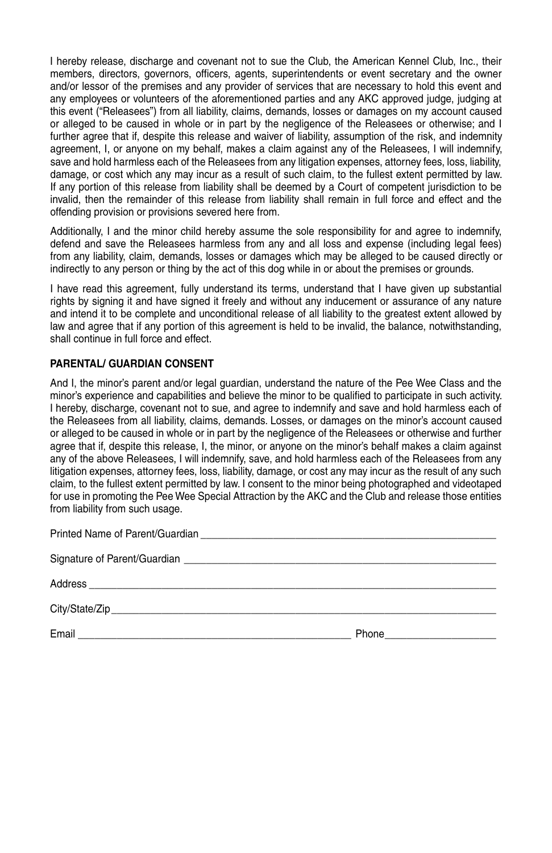I.hereby release, discharge and covenant not to sue the Club, the American Kennel Club, Inc., their. members, directors, governors, officers, agents, superintendents or event secretary and the owner. and/or lessor of the premises and any provider of services that are necessary to hold this event and any employees or volunteers of the aforementioned parties and any AKC approved judge, judging at this. event. ("Releasees") from all liability, claims, demands, losses or damages on my account caused. or. alleged to be caused in whole or in part by the negligence of the Releasees or otherwise; and I further agree that if, despite this release and waiver of liability, assumption of the risk, and indemnity. agreement. I, or anyone on my behalf, makes a claim against any of the Releasees, I will indemnify, save and hold harmless each of the Releasees from any litigation expenses, attorney fees, loss, liability, damage, or cost which any may incur as a result of such claim, to the fullest extent permitted by law. If any portion of this release from liability shall be deemed by a Court of competent iurisdiction to be. invalid, then. the remainder of this release from liability shall remain in full force and effect and the. offending provision or provisions severed here from.

Additionally. I and the minor child hereby assume the sole responsibility for and agree to indemnify. defend and save the Releasees harmless from any and all loss and expense (including legal fees). from any liability, claim, demands, losses or damages which may be alleged to be caused directly or. indirectly to any person or thing by the act of this dog while in or about the premises or grounds.

I have read this agreement, fully understand its terms, understand that I have given up substantial rights by signing it and have signed it freely and without any inducement or assurance of any nature. and intend it to be complete and unconditional release of all liability to the greatest extent allowed by law and agree that if any portion of this agreement is held to be invalid, the balance, notwithstanding, shall continue in full force and effect.

## **parEntaL/ gUardian ConSEnt**

And I, the minor's parent and/or legal quardian, understand the nature of the Pee Wee Class and the minor's experience and capabilities and believe the minor to be qualified to participate in such activity. I hereby, discharge, covenant not to sue, and agree to indemnify and save and hold harmless each of the Releasees from all liability, claims, demands. Losses, or damages on the minor's account caused. or.alleged to be caused in whole or in part by the negligence of the Releasees or otherwise and further agree that if, despite this release. I, the minor, or anyone on the minor's behalf makes a claim against. any of the above Releasees, I will indemnify, save, and hold harmless each of the Releasees from any. litigation expenses, attorney fees, loss, liability, damage, or cost any may incur as the result of any such. claim, to the fullest extent permitted by law. I consent to the minor being photographed and videotaped. for use in promoting the Pee Wee Special Attraction by the AKC and the Club and release those entities. from liability from such usage.

| Phone <u>______________</u> |
|-----------------------------|